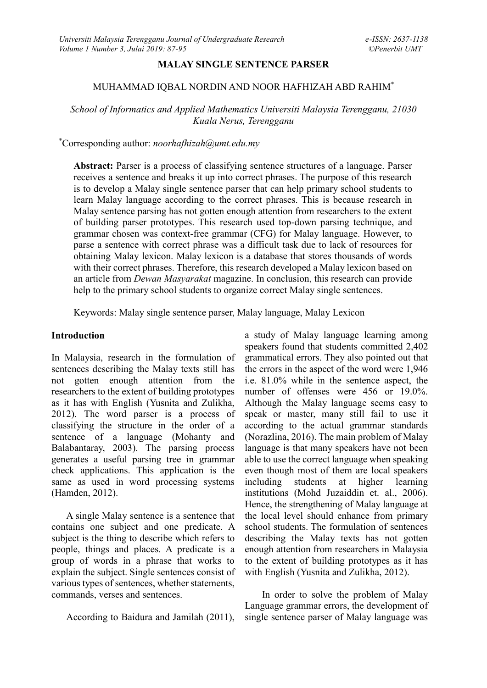### **MALAY SINGLE SENTENCE PARSER**

#### MUHAMMAD IQBAL NORDIN AND NOOR HAFHIZAH ABD RAHIM\*

*School of Informatics and Applied Mathematics Universiti Malaysia Terengganu, 21030 Kuala Nerus, Terengganu*

\*Corresponding author: *noorhafhizah@umt.edu.my*

Abstract: Parser is a process of classifying sentence structures of a language. Parser receives a sentence and breaks it up into correct phrases. The purpose of this research is to develop a Malay single sentence parser that can help primary school students to learn Malay language according to the correct phrases. This is because research in Malay sentence parsing has not gotten enough attention from researchers to the extent of building parser prototypes. This research used top-down parsing technique, and grammar chosen was context-free grammar (CFG) for Malay language. However, to parse a sentence with correct phrase was a difficult task due to lack of resources for obtaining Malay lexicon. Malay lexicon is a database that stores thousands of words with their correct phrases. Therefore, this research developed a Malay lexicon based on an article from *Dewan Masyarakat* magazine. In conclusion, this research can provide help to the primary school students to organize correct Malay single sentences.

Keywords: Malay single sentence parser, Malay language, Malay Lexicon

### **Introduction**

In Malaysia, research in the formulation of sentences describing the Malay texts still has not gotten enough attention from the researchers to the extent of building prototypes as it has with English (Yusnita and Zulikha, 2012). The word parser is a process of classifying the structure in the order of a sentence of a language (Mohanty and Balabantaray, 2003). The parsing process generates a useful parsing tree in grammar check applications. This application is the same as used in word processing systems (Hamden, 2012).

A single Malay sentence is a sentence that contains one subject and one predicate. A subject is the thing to describe which refers to people, things and places. A predicate is a group of words in a phrase that works to explain the subject. Single sentences consist of various types of sentences, whether statements, commands, verses and sentences.

According to Baidura and Jamilah (2011),

a study of Malay language learning among speakers found that students committed 2,402 grammatical errors. They also pointed out that the errors in the aspect of the word were 1,946 i.e. 81.0% while in the sentence aspect, the number of offenses were 456 or 19.0%. Although the Malay language seems easy to speak or master, many still fail to use it according to the actual grammar standards (Norazlina, 2016). The main problem of Malay language is that many speakers have not been able to use the correct language when speaking even though most of them are local speakers including students at higher learning institutions (Mohd Juzaiddin et. al., 2006). Hence, the strengthening of Malay language at the local level should enhance from primary school students. The formulation of sentences describing the Malay texts has not gotten enough attention from researchers in Malaysia to the extent of building prototypes as it has with English (Yusnita and Zulikha, 2012).

In order to solve the problem of Malay Language grammar errors, the development of single sentence parser of Malay language was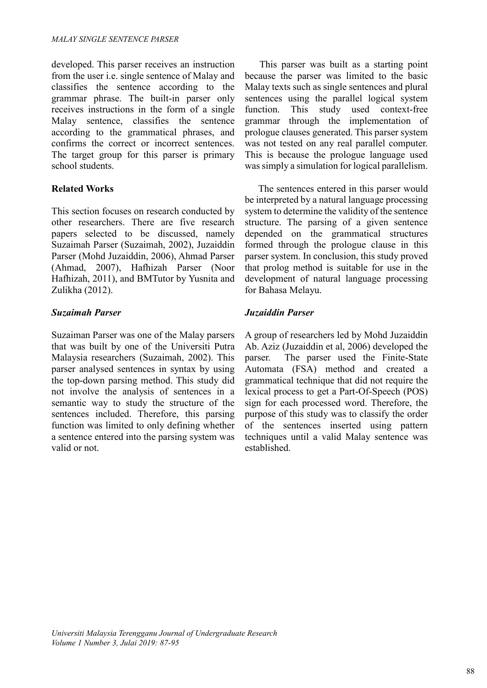developed. This parser receives an instruction from the user i.e. single sentence of Malay and classifies the sentence according to the grammar phrase. The built-in parser only receives instructions in the form of a single Malay sentence, classifies the sentence according to the grammatical phrases, and confirms the correct or incorrect sentences. The target group for this parser is primary school students.

## **Related Works**

This section focuses on research conducted by other researchers. There are five research papers selected to be discussed, namely Suzaimah Parser (Suzaimah, 2002), Juzaiddin Parser (Mohd Juzaiddin, 2006), Ahmad Parser (Ahmad, 2007), Hafhizah Parser (Noor Hafhizah, 2011), and BMTutor by Yusnita and Zulikha (2012).

## *Suzaimah Parser*

Suzaiman Parser was one of the Malay parsers that was built by one of the Universiti Putra Malaysia researchers (Suzaimah, 2002). This parser analysed sentences in syntax by using the top-down parsing method. This study did not involve the analysis of sentences in a semantic way to study the structure of the sentences included. Therefore, this parsing function was limited to only defining whether a sentence entered into the parsing system was valid or not.

This parser was built as a starting point because the parser was limited to the basic Malay texts such as single sentences and plural sentences using the parallel logical system function. This study used context-free grammar through the implementation of prologue clauses generated. This parser system was not tested on any real parallel computer. This is because the prologue language used was simply a simulation for logical parallelism.

The sentences entered in this parser would be interpreted by a natural language processing system to determine the validity of the sentence structure. The parsing of a given sentence depended on the grammatical structures formed through the prologue clause in this parser system. In conclusion, this study proved that prolog method is suitable for use in the development of natural language processing for Bahasa Melayu.

# *Juzaiddin Parser*

A group of researchers led by Mohd Juzaiddin Ab. Aziz (Juzaiddin et al, 2006) developed the parser. The parser used the Finite-State Automata (FSA) method and created a grammatical technique that did not require the lexical process to get a Part-Of-Speech (POS) sign for each processed word. Therefore, the purpose of this study was to classify the order of the sentences inserted using pattern techniques until a valid Malay sentence was established.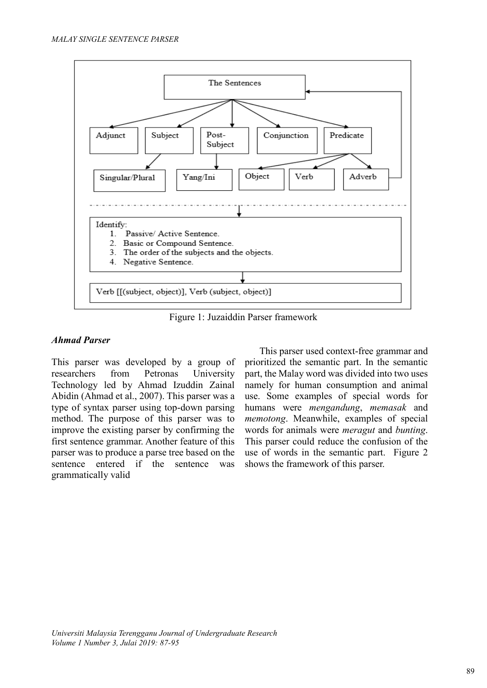

Figure 1: Juzaiddin Parser framework

# *Ahmad Parser*

This parser was developed by a group of researchers from Petronas University Technology led by Ahmad Izuddin Zainal Abidin (Ahmad et al., 2007). This parser was a type of syntax parser using top-down parsing method. The purpose of this parser was to improve the existing parser by confirming the first sentence grammar. Another feature of this parser was to produce a parse tree based on the sentence entered if the sentence was grammatically valid

This parser used context-free grammar and prioritized the semantic part. In the semantic part, the Malay word was divided into two uses namely for human consumption and animal use. Some examples of special words for humans were *mengandung*, *memasak* and *memotong*. Meanwhile, examples of special words for animals were *meragut* and *bunting*. This parser could reduce the confusion of the use of words in the semantic part. Figure 2 shows the framework of this parser.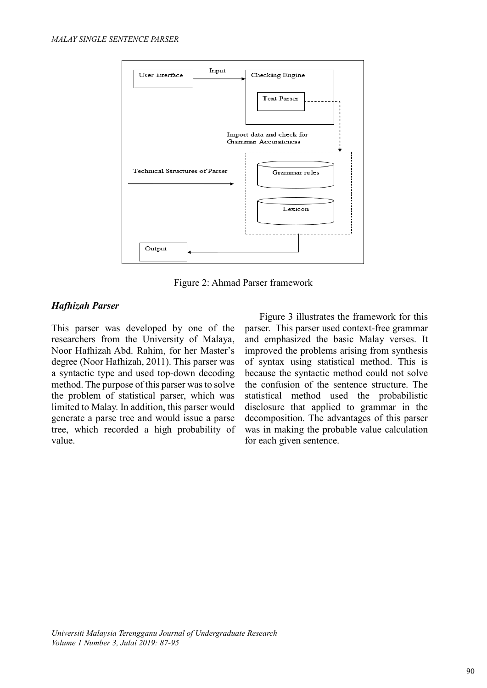

Figure 2: Ahmad Parser framework

# *Hafhizah Parser*

This parser was developed by one of the researchers from the University of Malaya, Noor Hafhizah Abd. Rahim, for her Master's degree (Noor Hafhizah, 2011). This parser was a syntactic type and used top-down decoding method. The purpose of this parser was to solve the problem of statistical parser, which was limited to Malay. In addition, this parser would generate a parse tree and would issue a parse tree, which recorded a high probability of value.

Figure 3 illustrates the framework for this parser. This parser used context-free grammar and emphasized the basic Malay verses. It improved the problems arising from synthesis of syntax using statistical method. This is because the syntactic method could not solve the confusion of the sentence structure. The statistical method used the probabilistic disclosure that applied to grammar in the decomposition. The advantages of this parser was in making the probable value calculation for each given sentence.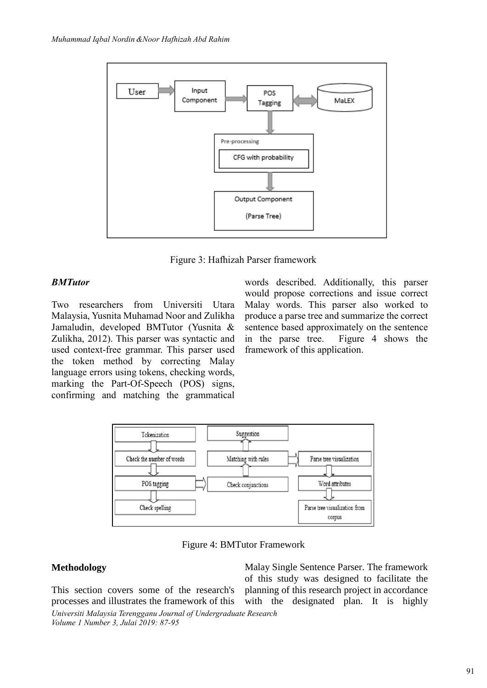

Figure 3: Hafhizah Parser framework

# *BMTutor*

Two researchers from Universiti Utara Malaysia, Yusnita Muhamad Noor and Zulikha Jamaludin, developed BMTutor (Yusnita & Zulikha, 2012). This parser was syntactic and used context-free grammar. This parser used the token method by correcting Malay language errors using tokens, checking words, marking the Part-Of-Speech (POS) signs, confirming and matching the grammatical

words described. Additionally, this parser would propose corrections and issue correct Malay words. This parser also worked to produce a parse tree and summarize the correct sentence based approximately on the sentence in the parse tree. Figure 4 shows the framework of this application.



Figure 4: BMTutor Framework

# **Methodology**

This section covers some of the research's processes and illustrates the framework of this

*Universiti Malaysia Terengganu Journal of Undergraduate Research Volume 1 Number 3, Julai 2019: 87-95*

Malay Single Sentence Parser. The framework of this study was designed to facilitate the planning of this research project in accordance with the designated plan. It is highly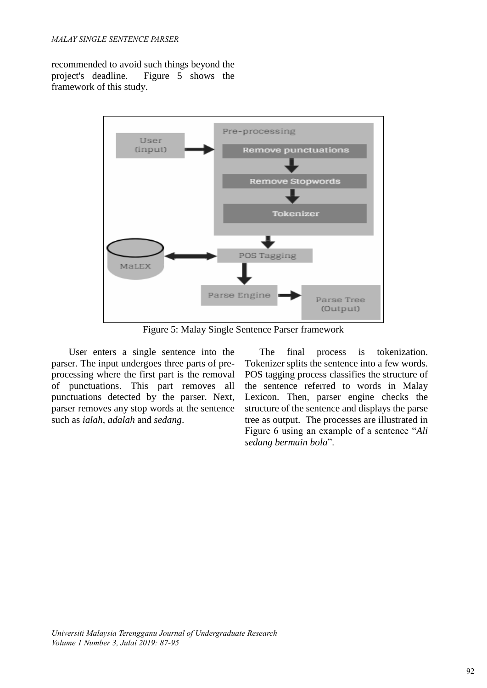recommended to avoid such things beyond the project's deadline. Figure 5 shows the framework of this study.



Figure 5: Malay Single Sentence Parser framework

 User enters a single sentence into the parser. The input undergoes three parts of preprocessing where the first part is the removal of punctuations. This part removes all punctuations detected by the parser. Next, parser removes any stop words at the sentence such as *ialah*, *adalah* and *sedang*.

The final process is tokenization. Tokenizer splits the sentence into a few words. POS tagging process classifies the structure of the sentence referred to words in Malay Lexicon. Then, parser engine checks the structure of the sentence and displays the parse tree as output. The processes are illustrated in Figure 6 using an example of a sentence "*Ali sedang bermain bola*".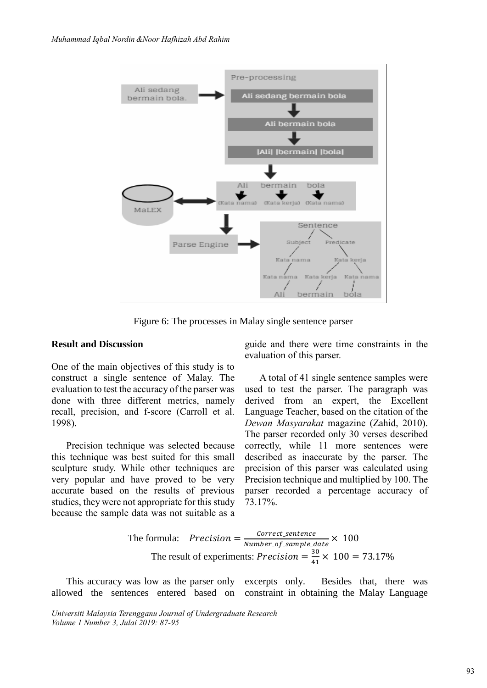

Figure 6: The processes in Malay single sentence parser

### **Result and Discussion**

One of the main objectives of this study is to construct a single sentence of Malay. The evaluation to test the accuracy of the parser was done with three different metrics, namely recall, precision, and f-score (Carroll et al. 1998).

Precision technique was selected because this technique was best suited for this small sculpture study. While other techniques are very popular and have proved to be very accurate based on the results of previous studies, they were not appropriate for this study because the sample data was not suitable as a guide and there were time constraints in the evaluation of this parser.

A total of 41 single sentence samples were used to test the parser. The paragraph was derived from an expert, the Excellent Language Teacher, based on the citation of the *Dewan Masyarakat* magazine (Zahid, 2010). The parser recorded only 30 verses described correctly, while 11 more sentences were described as inaccurate by the parser. The precision of this parser was calculated using Precision technique and multiplied by 100. The parser recorded a percentage accuracy of 73.17%.

The formula: 
$$
Precision = \frac{Correct\_sentence}{Number\_of\_sample\_date} \times 100
$$
  
The result of experiments: 
$$
Precision = \frac{30}{41} \times 100 = 73.17\%
$$

This accuracy was low as the parser only excerpts only. allowed the sentences entered based on constraint in obtaining the Malay Language Besides that, there was

*Universiti Malaysia Terengganu Journal of Undergraduate Research Volume 1 Number 3, Julai 2019: 87-95*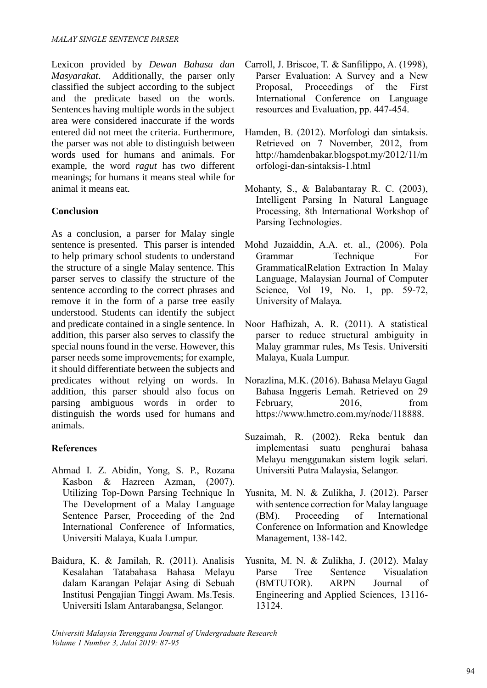Lexicon provided by *Dewan Bahasa dan Masyarakat*. Additionally, the parser only classified the subject according to the subject and the predicate based on the words. Sentences having multiple words in the subject area were considered inaccurate if the words entered did not meet the criteria. Furthermore, the parser was not able to distinguish between words used for humans and animals. For example, the word *ragut* has two different meanings; for humans it means steal while for animal it means eat.

# **Conclusion**

As a conclusion, a parser for Malay single sentence is presented. This parser is intended to help primary school students to understand the structure of a single Malay sentence. This parser serves to classify the structure of the sentence according to the correct phrases and remove it in the form of a parse tree easily understood. Students can identify the subject and predicate contained in a single sentence. In addition, this parser also serves to classify the special nouns found in the verse. However, this parser needs some improvements; for example, it should differentiate between the subjects and predicates without relying on words. In addition, this parser should also focus on parsing ambiguous words in order to distinguish the words used for humans and animals.

# **References**

- Ahmad I. Z. Abidin, Yong, S. P., Rozana Kasbon & Hazreen Azman, (2007). Utilizing Top-Down Parsing Technique In The Development of a Malay Language Sentence Parser, Proceeding of the 2nd International Conference of Informatics, Universiti Malaya, Kuala Lumpur.
- Baidura, K. & Jamilah, R. (2011). Analisis Kesalahan Tatabahasa Bahasa Melayu dalam Karangan Pelajar Asing di Sebuah Institusi Pengajian Tinggi Awam. Ms.Tesis. Universiti Islam Antarabangsa, Selangor.
- Carroll, J. Briscoe, T. & Sanfilippo, A. (1998), Parser Evaluation: A Survey and a New Proposal, Proceedings of the First International Conference on Language resources and Evaluation, pp. 447-454.
- Hamden, B. (2012). Morfologi dan sintaksis. Retrieved on 7 November, 2012, from http://hamdenbakar.blogspot.my/2012/11/m orfologi-dan-sintaksis-1.html
- Mohanty, S., & Balabantaray R. C. (2003), Intelligent Parsing In Natural Language Processing, 8th International Workshop of Parsing Technologies.
- Mohd Juzaiddin, A.A. et. al., (2006). Pola Grammar Technique For GrammaticalRelation Extraction In Malay Language, Malaysian Journal of Computer Science, Vol 19, No. 1, pp. 59-72, University of Malaya.
- Noor Hafhizah, A. R. (2011). A statistical parser to reduce structural ambiguity in Malay grammar rules, Ms Tesis. Universiti Malaya, Kuala Lumpur.
- Norazlina, M.K. (2016). Bahasa Melayu Gagal Bahasa Inggeris Lemah. Retrieved on 29 February, 2016, from https://www.hmetro.com.my/node/118888.
- Suzaimah, R. (2002). Reka bentuk dan implementasi suatu penghurai bahasa Melayu menggunakan sistem logik selari. Universiti Putra Malaysia, Selangor.
- Yusnita, M. N. & Zulikha, J. (2012). Parser with sentence correction for Malay language (BM). Proceeding of International Conference on Information and Knowledge Management, 138-142.
- Yusnita, M. N. & Zulikha, J. (2012). Malay Parse Tree Sentence Visualation (BMTUTOR). ARPN Journal of Engineering and Applied Sciences, 13116- 13124.

*Universiti Malaysia Terengganu Journal of Undergraduate Research Volume 1 Number 3, Julai 2019: 87-95*